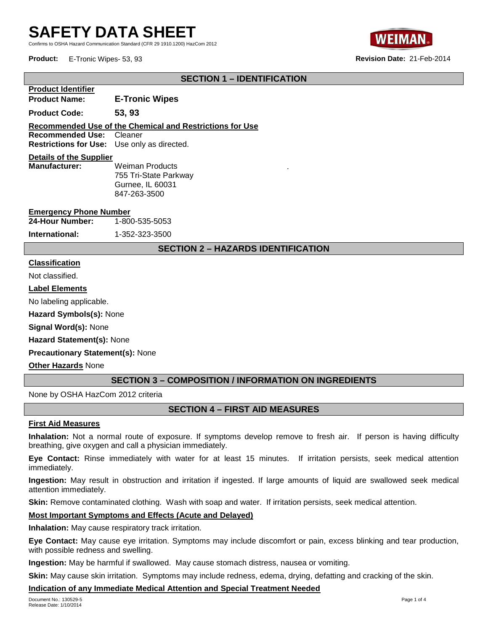# **SAFETY DATA SHEET**

Confirms to OSHA Hazard Communication Standard (CFR 29 1910.1200) HazCom 2012



**Product:** E-Tronic Wipes- 53, 93 **Revision Date:** 21-Feb-2014

# **SECTION 1 – IDENTIFICATION**

| <b>E-Tronic Wipes</b>                                                                 |  |  |  |  |
|---------------------------------------------------------------------------------------|--|--|--|--|
| 53, 93                                                                                |  |  |  |  |
| Recommended Use of the Chemical and Restrictions for Use                              |  |  |  |  |
| <b>Recommended Use: Cleaner</b><br><b>Restrictions for Use:</b> Use only as directed. |  |  |  |  |
|                                                                                       |  |  |  |  |

**Details of the Supplier Weiman Products** 755 Tri-State Parkway Gurnee, IL 60031 847-263-3500

#### **Emergency Phone Number**

| 24-Hour Number: |  | 1-800-535-5053 |
|-----------------|--|----------------|
|                 |  |                |

**International:** 1-352-323-3500

#### **SECTION 2 – HAZARDS IDENTIFICATION**

.

### **Classification**

Not classified.

#### **Label Elements**

No labeling applicable.

**Hazard Symbols(s):** None

**Signal Word(s):** None

**Hazard Statement(s):** None

**Precautionary Statement(s):** None

**Other Hazards** None

# **SECTION 3 – COMPOSITION / INFORMATION ON INGREDIENTS**

None by OSHA HazCom 2012 criteria

# **SECTION 4 – FIRST AID MEASURES**

#### **First Aid Measures**

**Inhalation:** Not a normal route of exposure. If symptoms develop remove to fresh air. If person is having difficulty breathing, give oxygen and call a physician immediately.

**Eye Contact:** Rinse immediately with water for at least 15 minutes. If irritation persists, seek medical attention immediately.

**Ingestion:** May result in obstruction and irritation if ingested. If large amounts of liquid are swallowed seek medical attention immediately.

**Skin:** Remove contaminated clothing. Wash with soap and water. If irritation persists, seek medical attention.

#### **Most Important Symptoms and Effects (Acute and Delayed)**

**Inhalation:** May cause respiratory track irritation.

**Eye Contact:** May cause eye irritation. Symptoms may include discomfort or pain, excess blinking and tear production, with possible redness and swelling.

**Ingestion:** May be harmful if swallowed. May cause stomach distress, nausea or vomiting.

**Skin:** May cause skin irritation. Symptoms may include redness, edema, drying, defatting and cracking of the skin.

#### **Indication of any Immediate Medical Attention and Special Treatment Needed**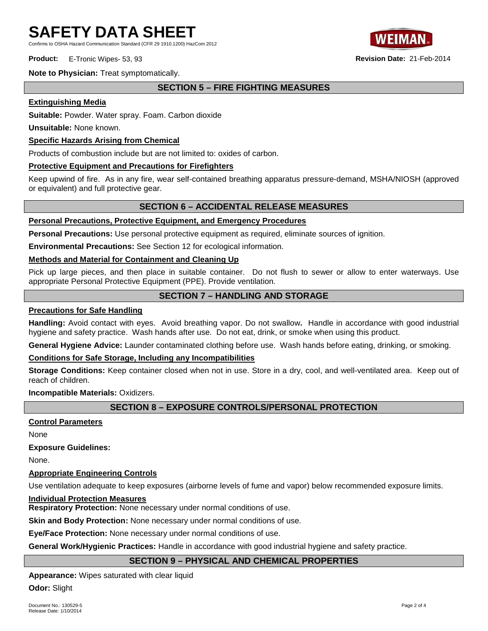Confirms to OSHA Hazard Communication Standard (CFR 29 1910.1200) HazCom 2012

**Product:** E-Tronic Wipes- 53, 93 **Revision Date:** 21-Feb-2014



**Note to Physician:** Treat symptomatically.

# **SECTION 5 – FIRE FIGHTING MEASURES**

#### **Extinguishing Media**

**Suitable:** Powder. Water spray. Foam. Carbon dioxide

**Unsuitable:** None known.

#### **Specific Hazards Arising from Chemical**

Products of combustion include but are not limited to: oxides of carbon.

#### **Protective Equipment and Precautions for Firefighters**

Keep upwind of fire. As in any fire, wear self-contained breathing apparatus pressure-demand, MSHA/NIOSH (approved or equivalent) and full protective gear.

### **SECTION 6 – ACCIDENTAL RELEASE MEASURES**

### **Personal Precautions, Protective Equipment, and Emergency Procedures**

**Personal Precautions:** Use personal protective equipment as required, eliminate sources of ignition.

**Environmental Precautions:** See Section 12 for ecological information.

#### **Methods and Material for Containment and Cleaning Up**

Pick up large pieces, and then place in suitable container. Do not flush to sewer or allow to enter waterways. Use appropriate Personal Protective Equipment (PPE). Provide ventilation.

# **SECTION 7 – HANDLING AND STORAGE**

#### **Precautions for Safe Handling**

**Handling:** Avoid contact with eyes. Avoid breathing vapor. Do not swallow**.** Handle in accordance with good industrial hygiene and safety practice. Wash hands after use. Do not eat, drink, or smoke when using this product.

**General Hygiene Advice:** Launder contaminated clothing before use. Wash hands before eating, drinking, or smoking.

#### **Conditions for Safe Storage, Including any Incompatibilities**

**Storage Conditions:** Keep container closed when not in use. Store in a dry, cool, and well-ventilated area. Keep out of reach of children.

**Incompatible Materials:** Oxidizers.

# **SECTION 8 – EXPOSURE CONTROLS/PERSONAL PROTECTION**

#### **Control Parameters**

None

**Exposure Guidelines:**

None.

#### **Appropriate Engineering Controls**

Use ventilation adequate to keep exposures (airborne levels of fume and vapor) below recommended exposure limits.

#### **Individual Protection Measures**

**Respiratory Protection:** None necessary under normal conditions of use.

**Skin and Body Protection:** None necessary under normal conditions of use.

**Eye/Face Protection:** None necessary under normal conditions of use.

**General Work/Hygienic Practices:** Handle in accordance with good industrial hygiene and safety practice.

#### **SECTION 9 – PHYSICAL AND CHEMICAL PROPERTIES**

**Appearance:** Wipes saturated with clear liquid

**Odor:** Slight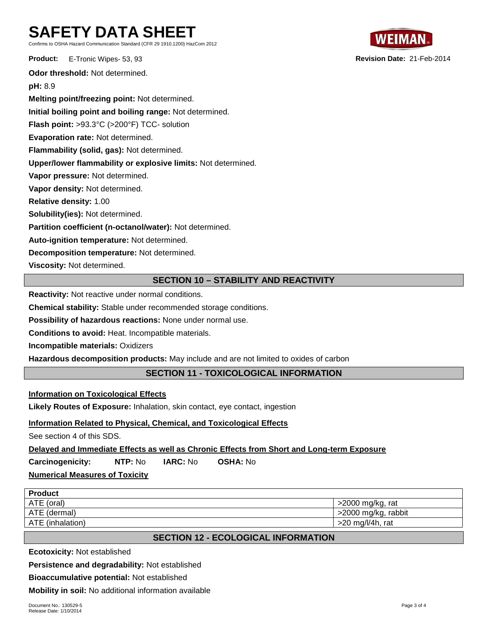# **SAFETY DATA SHEET**

Confirms to OSHA Hazard Communication Standard (CFR 29 1910.1200) HazCom 2012

**Product:** E-Tronic Wipes- 53, 93 **Revision Date:** 21-Feb-2014 **Odor threshold:** Not determined. **pH:** 8.9 **Melting point/freezing point:** Not determined. **Initial boiling point and boiling range:** Not determined. **Flash point:** >93.3°C (>200°F) TCC- solution **Evaporation rate:** Not determined. **Flammability (solid, gas):** Not determined. **Upper/lower flammability or explosive limits:** Not determined. **Vapor pressure:** Not determined. **Vapor density:** Not determined. **Relative density:** 1.00 **Solubility(ies):** Not determined. **Partition coefficient (n-octanol/water):** Not determined. **Auto-ignition temperature:** Not determined. **Decomposition temperature:** Not determined. **Viscosity:** Not determined.

# **SECTION 10 – STABILITY AND REACTIVITY**

**Reactivity:** Not reactive under normal conditions.

**Chemical stability:** Stable under recommended storage conditions.

**Possibility of hazardous reactions:** None under normal use.

**Conditions to avoid:** Heat. Incompatible materials.

**Incompatible materials:** Oxidizers

**Hazardous decomposition products:** May include and are not limited to oxides of carbon

# **SECTION 11 - TOXICOLOGICAL INFORMATION**

**Information on Toxicological Effects**

**Likely Routes of Exposure:** Inhalation, skin contact, eye contact, ingestion

#### **Information Related to Physical, Chemical, and Toxicological Effects**

See section 4 of this SDS.

**Delayed and Immediate Effects as well as Chronic Effects from Short and Long-term Exposure**

**Carcinogenicity: NTP:** No **IARC:** No **OSHA:** No

# **Numerical Measures of Toxicity**

| <b>Product</b>   |                     |
|------------------|---------------------|
| ATE (oral)       | >2000 mg/kg, rat    |
| ATE (dermal)     | >2000 mg/kg, rabbit |
| ATE (inhalation) | $>20$ mg/l/4h, rat  |
|                  |                     |

# **SECTION 12 - ECOLOGICAL INFORMATION**

**Ecotoxicity:** Not established

**Persistence and degradability:** Not established

**Bioaccumulative potential:** Not established

**Mobility in soil:** No additional information available